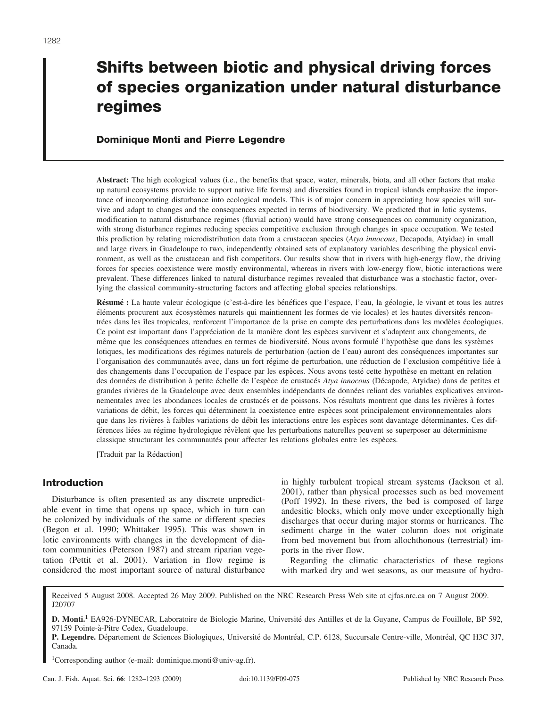# **Shifts between biotic and physical driving forces of species organization under natural disturbance regimes**

# **Dominique Monti and Pierre Legendre**

**Abstract:** The high ecological values (i.e., the benefits that space, water, minerals, biota, and all other factors that make up natural ecosystems provide to support native life forms) and diversities found in tropical islands emphasize the importance of incorporating disturbance into ecological models. This is of major concern in appreciating how species will survive and adapt to changes and the consequences expected in terms of biodiversity. We predicted that in lotic systems, modification to natural disturbance regimes (fluvial action) would have strong consequences on community organization, with strong disturbance regimes reducing species competitive exclusion through changes in space occupation. We tested this prediction by relating microdistribution data from a crustacean species (*Atya innocous*, Decapoda, Atyidae) in small and large rivers in Guadeloupe to two, independently obtained sets of explanatory variables describing the physical environment, as well as the crustacean and fish competitors. Our results show that in rivers with high-energy flow, the driving forces for species coexistence were mostly environmental, whereas in rivers with low-energy flow, biotic interactions were prevalent. These differences linked to natural disturbance regimes revealed that disturbance was a stochastic factor, overlying the classical community-structuring factors and affecting global species relationships.

Résumé : La haute valeur écologique (c'est-à-dire les bénéfices que l'espace, l'eau, la géologie, le vivant et tous les autres éléments procurent aux écosystèmes naturels qui maintiennent les formes de vie locales) et les hautes diversités rencontrées dans les îles tropicales, renforcent l'importance de la prise en compte des perturbations dans les modèles écologiques. Ce point est important dans l'appréciation de la manière dont les espèces survivent et s'adaptent aux changements, de même que les conséquences attendues en termes de biodiversité. Nous avons formulé l'hypothèse que dans les systèmes lotiques, les modifications des régimes naturels de perturbation (action de l'eau) auront des conséquences importantes sur l'organisation des communautés avec, dans un fort régime de perturbation, une réduction de l'exclusion compétitive liée à des changements dans l'occupation de l'espace par les espèces. Nous avons testé cette hypothèse en mettant en relation des données de distribution à petite échelle de l'espèce de crustacés *Atya innocous* (Décapode, Atyidae) dans de petites et grandes rivières de la Guadeloupe avec deux ensembles indépendants de données reliant des variables explicatives environnementales avec les abondances locales de crustacés et de poissons. Nos résultats montrent que dans les rivières à fortes variations de débit, les forces qui déterminent la coexistence entre espèces sont principalement environnementales alors que dans les rivières à faibles variations de débit les interactions entre les espèces sont davantage déterminantes. Ces différences liées au régime hydrologique révèlent que les perturbations naturelles peuvent se superposer au déterminisme classique structurant les communautés pour affecter les relations globales entre les espèces.

[Traduit par la Rédaction]

# **Introduction**

Disturbance is often presented as any discrete unpredictable event in time that opens up space, which in turn can be colonized by individuals of the same or different species (Begon et al. 1990; Whittaker 1995). This was shown in lotic environments with changes in the development of diatom communities (Peterson 1987) and stream riparian vegetation (Pettit et al. 2001). Variation in flow regime is considered the most important source of natural disturbance

in highly turbulent tropical stream systems (Jackson et al. 2001), rather than physical processes such as bed movement (Poff 1992). In these rivers, the bed is composed of large andesitic blocks, which only move under exceptionally high discharges that occur during major storms or hurricanes. The sediment charge in the water column does not originate from bed movement but from allochthonous (terrestrial) imports in the river flow.

Regarding the climatic characteristics of these regions with marked dry and wet seasons, as our measure of hydro-

Received 5 August 2008. Accepted 26 May 2009. Published on the NRC Research Press Web site at cjfas.nrc.ca on 7 August 2009. J20707

**D. Monti.**<sup>1</sup> EA926-DYNECAR, Laboratoire de Biologie Marine, Université des Antilles et de la Guyane, Campus de Fouillole, BP 592, 97159 Pointe-à-Pitre Cedex, Guadeloupe.

P. Legendre. Département de Sciences Biologiques, Université de Montréal, C.P. 6128, Succursale Centre-ville, Montréal, QC H3C 3J7, Canada.

<sup>1</sup>Corresponding author (e-mail: dominique.monti@univ-ag.fr).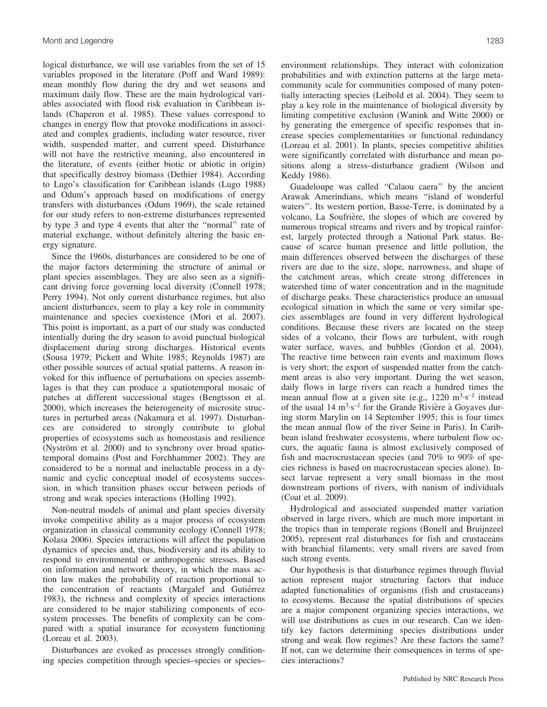logical disturbance, we will use variables from the set of 15 variables proposed in the literature (Poff and Ward 1989): mean monthly flow during the dry and wet seasons and maximum daily flow. These are the main hydrological variables associated with flood risk evaluation in Caribbean islands (Chaperon et al. 1985). These values correspond to changes in energy flow that provoke modifications in associated and complex gradients, including water resource, river width, suspended matter, and current speed. Disturbance will not have the restrictive meaning, also encountered in the literature, of events (either biotic or abiotic in origin) that specifically destroy biomass (Dethier 1984). According to Lugo's classification for Caribbean islands (Lugo 1988) and Odum's approach based on modifications of energy transfers with disturbances (Odum 1969), the scale retained for our study refers to non-extreme disturbances represented by type 3 and type 4 events that alter the ''normal'' rate of material exchange, without definitely altering the basic energy signature.

Since the 1960s, disturbances are considered to be one of the major factors determining the structure of animal or plant species assemblages. They are also seen as a significant driving force governing local diversity (Connell 1978; Perry 1994). Not only current disturbance regimes, but also ancient disturbances, seem to play a key role in community maintenance and species coexistence (Mori et al. 2007). This point is important, as a part of our study was conducted intentially during the dry season to avoid punctual biological displacement during strong discharges. Historical events (Sousa 1979; Pickett and White 1985; Reynolds 1987) are other possible sources of actual spatial patterns. A reason invoked for this influence of perturbations on species assemblages is that they can produce a spatiotemporal mosaic of patches at different successional stages (Bengtsson et al. 2000), which increases the heterogeneity of microsite structures in perturbed areas (Nakamura et al. 1997). Disturbances are considered to strongly contribute to global properties of ecosystems such as homeostasis and resilience (Nyström et al. 2000) and to synchrony over broad spatiotemporal domains (Post and Forchhammer 2002). They are considered to be a normal and ineluctable process in a dynamic and cyclic conceptual model of ecosystems succession, in which transition phases occur between periods of strong and weak species interactions (Holling 1992).

Non-neutral models of animal and plant species diversity invoke competitive ability as a major process of ecosystem organization in classical community ecology (Connell 1978; Kolasa 2006). Species interactions will affect the population dynamics of species and, thus, biodiversity and its ability to respond to environmental or anthropogenic stresses. Based on information and network theory, in which the mass action law makes the probability of reaction proportional to the concentration of reactants (Margalef and Gutiérrez 1983), the richness and complexity of species interactions are considered to be major stabilizing components of ecosystem processes. The benefits of complexity can be compared with a spatial insurance for ecosystem functioning (Loreau et al. 2003).

Disturbances are evoked as processes strongly conditioning species competition through species–species or species– environment relationships. They interact with colonization probabilities and with extinction patterns at the large metacommunity scale for communities composed of many potentially interacting species (Leibold et al. 2004). They seem to play a key role in the maintenance of biological diversity by limiting competitive exclusion (Wanink and Witte 2000) or by generating the emergence of specific responses that increase species complementarities or functional redundancy (Loreau et al. 2001). In plants, species competitive abilities were significantly correlated with disturbance and mean positions along a stress–disturbance gradient (Wilson and Keddy 1986).

Guadeloupe was called ''Calaou caera'' by the ancient Arawak Amerindians, which means ''island of wonderful waters''. Its western portion, Basse-Terre, is dominated by a volcano, La Soufrière, the slopes of which are covered by numerous tropical streams and rivers and by tropical rainforest, largely protected through a National Park status. Because of scarce human presence and little pollution, the main differences observed between the discharges of these rivers are due to the size, slope, narrowness, and shape of the catchment areas, which create strong differences in watershed time of water concentration and in the magnitude of discharge peaks. These characteristics produce an unusual ecological situation in which the same or very similar species assemblages are found in very different hydrological conditions. Because these rivers are located on the steep sides of a volcano, their flows are turbulent, with rough water surface, waves, and bubbles (Gordon et al. 2004). The reactive time between rain events and maximum flows is very short; the export of suspended matter from the catchment areas is also very important. During the wet season, daily flows in large rivers can reach a hundred times the mean annual flow at a given site (e.g.,  $1220 \text{ m}^3 \cdot \text{s}^{-1}$  instead of the usual  $14 \text{ m}^3 \cdot \text{s}^{-1}$  for the Grande Rivière à Goyaves during storm Marylin on 14 September 1995; this is four times the mean annual flow of the river Seine in Paris). In Caribbean island freshwater ecosystems, where turbulent flow occurs, the aquatic fauna is almost exclusively composed of fish and macrocrustacean species (and 70% to 90% of species richness is based on macrocrustacean species alone). Insect larvae represent a very small biomass in the most downstream portions of rivers, with nanism of individuals (Coat et al. 2009).

Hydrological and associated suspended matter variation observed in large rivers, which are much more important in the tropics than in temperate regions (Bonell and Bruijnzeel 2005), represent real disturbances for fish and crustaceans with branchial filaments; very small rivers are saved from such strong events.

Our hypothesis is that disturbance regimes through fluvial action represent major structuring factors that induce adapted functionalities of organisms (fish and crustaceans) to ecosystems. Because the spatial distributions of species are a major component organizing species interactions, we will use distributions as cues in our research. Can we identify key factors determining species distributions under strong and weak flow regimes? Are these factors the same? If not, can we determine their consequences in terms of species interactions?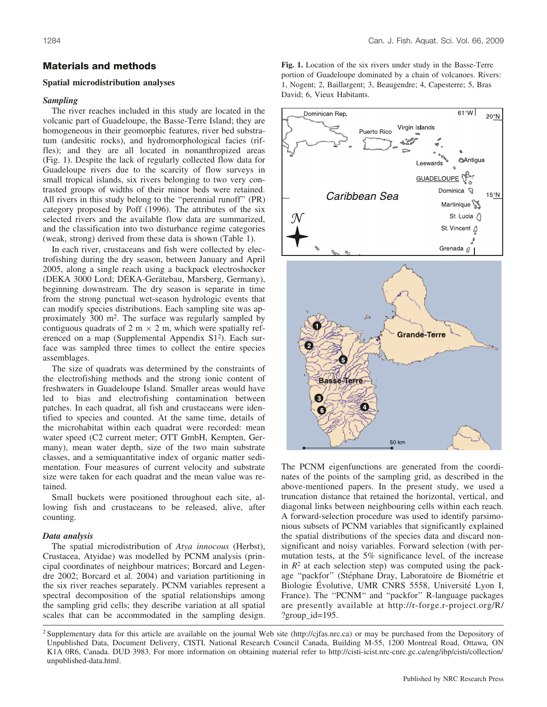# **Materials and methods**

# **Spatial microdistribution analyses**

## *Sampling*

The river reaches included in this study are located in the volcanic part of Guadeloupe, the Basse-Terre Island; they are homogeneous in their geomorphic features, river bed substratum (andesitic rocks), and hydromorphological facies (riffles); and they are all located in nonanthropized areas (Fig. 1). Despite the lack of regularly collected flow data for Guadeloupe rivers due to the scarcity of flow surveys in small tropical islands, six rivers belonging to two very contrasted groups of widths of their minor beds were retained. All rivers in this study belong to the ''perennial runoff'' (PR) category proposed by Poff (1996). The attributes of the six selected rivers and the available flow data are summarized, and the classification into two disturbance regime categories (weak, strong) derived from these data is shown (Table 1).

In each river, crustaceans and fish were collected by electrofishing during the dry season, between January and April 2005, along a single reach using a backpack electroshocker (DEKA 3000 Lord; DEKA-Gerätebau, Marsberg, Germany), beginning downstream. The dry season is separate in time from the strong punctual wet-season hydrologic events that can modify species distributions. Each sampling site was approximately 300 m2. The surface was regularly sampled by contiguous quadrats of 2 m  $\times$  2 m, which were spatially referenced on a map (Supplemental Appendix S12). Each surface was sampled three times to collect the entire species assemblages.

The size of quadrats was determined by the constraints of the electrofishing methods and the strong ionic content of freshwaters in Guadeloupe Island. Smaller areas would have led to bias and electrofishing contamination between patches. In each quadrat, all fish and crustaceans were identified to species and counted. At the same time, details of the microhabitat within each quadrat were recorded: mean water speed (C2 current meter; OTT GmbH, Kempten, Germany), mean water depth, size of the two main substrate classes, and a semiquantitative index of organic matter sedimentation. Four measures of current velocity and substrate size were taken for each quadrat and the mean value was retained.

Small buckets were positioned throughout each site, allowing fish and crustaceans to be released, alive, after counting.

# *Data analysis*

The spatial microdistribution of *Atya innocous* (Herbst), Crustacea, Atyidae) was modelled by PCNM analysis (principal coordinates of neighbour matrices; Borcard and Legendre 2002; Borcard et al. 2004) and variation partitioning in the six river reaches separately. PCNM variables represent a spectral decomposition of the spatial relationships among the sampling grid cells; they describe variation at all spatial scales that can be accommodated in the sampling design. **Fig. 1.** Location of the six rivers under study in the Basse-Terre portion of Guadeloupe dominated by a chain of volcanoes. Rivers: 1, Nogent; 2, Baillargent; 3, Beaugendre; 4, Capesterre; 5, Bras David; 6, Vieux Habitants.



The PCNM eigenfunctions are generated from the coordinates of the points of the sampling grid, as described in the above-mentioned papers. In the present study, we used a truncation distance that retained the horizontal, vertical, and diagonal links between neighbouring cells within each reach. A forward-selection procedure was used to identify parsimonious subsets of PCNM variables that significantly explained the spatial distributions of the species data and discard nonsignificant and noisy variables. Forward selection (with permutation tests, at the 5% significance level, of the increase in  $R^2$  at each selection step) was computed using the package "packfor" (Stéphane Dray, Laboratoire de Biométrie et Biologie Evolutive, UMR CNRS 5558, Université Lyon I, France). The ''PCNM'' and ''packfor'' R-language packages are presently available at http://r-forge.r-project.org/R/ ?group\_id=195.

<sup>&</sup>lt;sup>2</sup> Supplementary data for this article are available on the journal Web site (http://cjfas.nrc.ca) or may be purchased from the Depository of Unpublished Data, Document Delivery, CISTI, National Research Council Canada, Building M-55, 1200 Montreal Road, Ottawa, ON K1A 0R6, Canada. DUD 3983. For more information on obtaining material refer to http://cisti-icist.nrc-cnrc.gc.ca/eng/ibp/cisti/collection/ unpublished-data.html.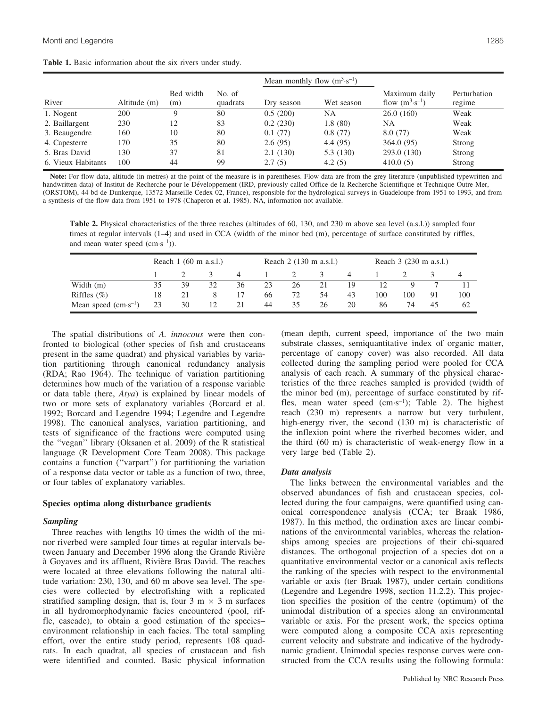|                    |              |                  |                    | Mean monthly flow $(m^3 \cdot s^{-1})$ |            |                                            |                        |
|--------------------|--------------|------------------|--------------------|----------------------------------------|------------|--------------------------------------------|------------------------|
| River              | Altitude (m) | Bed width<br>(m) | No. of<br>quadrats | Dry season                             | Wet season | Maximum daily<br>flow $(m^3 \cdot s^{-1})$ | Perturbation<br>regime |
| 1. Nogent          | 200          | Q                | 80                 | 0.5(200)                               | NA         | 26.0(160)                                  | Weak                   |
| 2. Baillargent     | 230          | 12               | 83                 | 0.2(230)                               | 1.8(80)    | NA                                         | Weak                   |
| 3. Beaugendre      | 160          | 10               | 80                 | 0.1(77)                                | 0.8(77)    | 8.0(77)                                    | Weak                   |
| 4. Capesterre      | 170          | 35               | 80                 | 2.6(95)                                | 4.4(95)    | 364.0(95)                                  | Strong                 |
| 5. Bras David      | 130          | 37               | 81                 | 2.1(130)                               | 5.3(130)   | 293.0 (130)                                | Strong                 |
| 6. Vieux Habitants | 100          | 44               | 99                 | 2.7(5)                                 | 4.2(5)     | 410.0(5)                                   | Strong                 |

Note: For flow data, altitude (in metres) at the point of the measure is in parentheses. Flow data are from the grey literature (unpublished typewritten and handwritten data) of Institut de Recherche pour le Développement (IRD, previously called Office de la Recherche Scientifique et Technique Outre-Mer, (ORSTOM), 44 bd de Dunkerque, 13572 Marseille Cedex 02, France), responsible for the hydrological surveys in Guadeloupe from 1951 to 1993, and from a synthesis of the flow data from 1951 to 1978 (Chaperon et al. 1985). NA, information not available.

**Table 2.** Physical characteristics of the three reaches (altitudes of 60, 130, and 230 m above sea level (a.s.l.)) sampled four times at regular intervals (1–4) and used in CCA (width of the minor bed (m), percentage of surface constituted by riffles, and mean water speed  $(cm·s<sup>-1</sup>)).$ 

|                                     | Reach $1(60 \text{ m a.s.}!)$ |    |    | Reach 2 (130 m a.s.l.) |    |    | Reach 3 (230 m a.s.l.) |    |     |     |    |     |
|-------------------------------------|-------------------------------|----|----|------------------------|----|----|------------------------|----|-----|-----|----|-----|
|                                     |                               |    |    | 4                      |    |    |                        |    |     |     |    |     |
| Width (m)                           | 35                            | 39 | 32 | 36                     | 23 | 26 | 21                     | 19 | 12  |     |    |     |
| Riffles $(\%)$                      | 18                            |    |    |                        | 66 | 72 | 54                     | 43 | 100 | 100 | 91 | 100 |
| Mean speed $\rm (cm\text{-}s^{-1})$ | 23                            | 30 | 12 |                        | 44 | 35 | 26                     | 20 | 86  | 74  | 45 | 62  |

The spatial distributions of *A. innocous* were then confronted to biological (other species of fish and crustaceans present in the same quadrat) and physical variables by variation partitioning through canonical redundancy analysis (RDA; Rao 1964). The technique of variation partitioning determines how much of the variation of a response variable or data table (here, *Atya*) is explained by linear models of two or more sets of explanatory variables (Borcard et al. 1992; Borcard and Legendre 1994; Legendre and Legendre 1998). The canonical analyses, variation partitioning, and tests of significance of the fractions were computed using the ''vegan'' library (Oksanen et al. 2009) of the R statistical language (R Development Core Team 2008). This package contains a function (''varpart'') for partitioning the variation of a response data vector or table as a function of two, three, or four tables of explanatory variables.

#### **Species optima along disturbance gradients**

#### *Sampling*

Three reaches with lengths 10 times the width of the minor riverbed were sampled four times at regular intervals between January and December 1996 along the Grande Rivière a Goyaves and its affluent, Rivière Bras David. The reaches were located at three elevations following the natural altitude variation: 230, 130, and 60 m above sea level. The species were collected by electrofishing with a replicated stratified sampling design, that is, four 3 m  $\times$  3 m surfaces in all hydromorphodynamic facies encountered (pool, riffle, cascade), to obtain a good estimation of the species– environment relationship in each facies. The total sampling effort, over the entire study period, represents 108 quadrats. In each quadrat, all species of crustacean and fish were identified and counted. Basic physical information (mean depth, current speed, importance of the two main substrate classes, semiquantitative index of organic matter, percentage of canopy cover) was also recorded. All data collected during the sampling period were pooled for CCA analysis of each reach. A summary of the physical characteristics of the three reaches sampled is provided (width of the minor bed (m), percentage of surface constituted by riffles, mean water speed  $(cm·s^{-1})$ ; Table 2). The highest reach (230 m) represents a narrow but very turbulent, high-energy river, the second (130 m) is characteristic of the inflexion point where the riverbed becomes wider, and the third (60 m) is characteristic of weak-energy flow in a very large bed (Table 2).

#### *Data analysis*

The links between the environmental variables and the observed abundances of fish and crustacean species, collected during the four campaigns, were quantified using canonical correspondence analysis (CCA; ter Braak 1986, 1987). In this method, the ordination axes are linear combinations of the environmental variables, whereas the relationships among species are projections of their chi-squared distances. The orthogonal projection of a species dot on a quantitative environmental vector or a canonical axis reflects the ranking of the species with respect to the environmental variable or axis (ter Braak 1987), under certain conditions (Legendre and Legendre 1998, section 11.2.2). This projection specifies the position of the centre (optimum) of the unimodal distribution of a species along an environmental variable or axis. For the present work, the species optima were computed along a composite CCA axis representing current velocity and substrate and indicative of the hydrodynamic gradient. Unimodal species response curves were constructed from the CCA results using the following formula: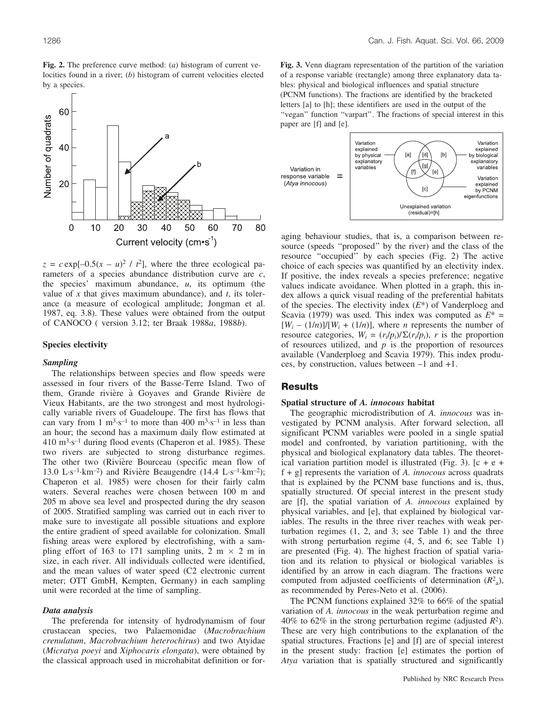60

40

20

0

Number of quadrats

**Fig. 2.** The preference curve method: (*a*) histogram of current velocities found in a river; (*b*) histogram of current velocities elected by a species.

 $z = c \exp[-0.5(x - u)^2 / t^2]$ , where the three ecological parameters of a species abundance distribution curve are *c*, the species' maximum abundance, *u*, its optimum (the value of *x* that gives maximum abundance), and *t*, its tolerance (a measure of ecological amplitude; Jongman et al. 1987, eq. 3.8). These values were obtained from the output of CANOCO ( version 3.12; ter Braak 1988*a*, 1988*b*).

20

10

30

40

Current velocity (cm $\cdot$ s<sup>1</sup>)

50

60

70

80

#### **Species electivity**

#### *Sampling*

The relationships between species and flow speeds were assessed in four rivers of the Basse-Terre Island. Two of them, Grande rivière à Goyaves and Grande Rivière de Vieux Habitants, are the two strongest and most hydrologically variable rivers of Guadeloupe. The first has flows that can vary from 1  $m^3 \cdot s^{-1}$  to more than 400  $m^3 \cdot s^{-1}$  in less than an hour; the second has a maximum daily flow estimated at 410 m3-s–1 during flood events (Chaperon et al. 1985). These two rivers are subjected to strong disturbance regimes. The other two (Rivière Bourceau (specific mean flow of 13.0 L·s<sup>-1</sup>·km<sup>-2</sup>) and Rivière Beaugendre (14.4 L·s<sup>-1</sup>·km<sup>-2</sup>); Chaperon et al. 1985) were chosen for their fairly calm waters. Several reaches were chosen between 100 m and 205 m above sea level and prospected during the dry season of 2005. Stratified sampling was carried out in each river to make sure to investigate all possible situations and explore the entire gradient of speed available for colonization. Small fishing areas were explored by electrofishing, with a sampling effort of 163 to 171 sampling units, 2 m  $\times$  2 m in size, in each river. All individuals collected were identified, and the mean values of water speed (C2 electronic current meter; OTT GmbH, Kempten, Germany) in each sampling unit were recorded at the time of sampling.

#### *Data analysis*

The preferenda for intensity of hydrodynamism of four crustacean species, two Palaemonidae (*Macrobrachium crenulatum*, *Macrobrachium heterochirus*) and two Atyidae (*Micratya poeyi* and *Xiphocaris elongata*), were obtained by the classical approach used in microhabitat definition or for**Fig. 3.** Venn diagram representation of the partition of the variation of a response variable (rectangle) among three explanatory data tables: physical and biological influences and spatial structure (PCNM functions). The fractions are identified by the bracketed letters [a] to [h]; these identifiers are used in the output of the "vegan" function "varpart". The fractions of special interest in this paper are [f] and [e].



aging behaviour studies, that is, a comparison between resource (speeds ''proposed'' by the river) and the class of the resource ''occupied'' by each species (Fig. 2) The active choice of each species was quantified by an electivity index. If positive, the index reveals a species preference; negative values indicate avoidance. When plotted in a graph, this index allows a quick visual reading of the preferential habitats of the species. The electivity index (*E*\*) of Vanderploeg and Scavia (1979) was used. This index was computed as *E*\* =  $[W_i - (1/n)]/[W_i + (1/n)]$ , where *n* represents the number of resource categories,  $W_i = (r_i/p_i)/\Sigma(r_i/p_i)$ , *r* is the proportion of resources utilized, and *p* is the proportion of resources available (Vanderploeg and Scavia 1979). This index produces, by construction, values between –1 and +1.

#### **Results**

# **Spatial structure of** *A. innocous* **habitat**

The geographic microdistribution of *A. innocous* was investigated by PCNM analysis. After forward selection, all significant PCNM variables were pooled in a single spatial model and confronted, by variation partitioning, with the physical and biological explanatory data tables. The theoretical variation partition model is illustrated (Fig. 3). [ $c + e +$ f + g] represents the variation of *A. innocous* across quadrats that is explained by the PCNM base functions and is, thus, spatially structured. Of special interest in the present study are [f], the spatial variation of *A. innocous* explained by physical variables, and [e], that explained by biological variables. The results in the three river reaches with weak perturbation regimes (1, 2, and 3; see Table 1) and the three with strong perturbation regime  $(4, 5,$  and 6; see Table 1) are presented (Fig. 4). The highest fraction of spatial variation and its relation to physical or biological variables is identified by an arrow in each diagram. The fractions were computed from adjusted coefficients of determination  $(R<sup>2</sup><sub>a</sub>)$ , as recommended by Peres-Neto et al. (2006).

The PCNM functions explained 32% to 66% of the spatial variation of *A. innocous* in the weak perturbation regime and 40% to 62% in the strong perturbation regime (adjusted *R*2). These are very high contributions to the explanation of the spatial structures. Fractions [e] and [f] are of special interest in the present study: fraction [e] estimates the portion of *Atya* variation that is spatially structured and significantly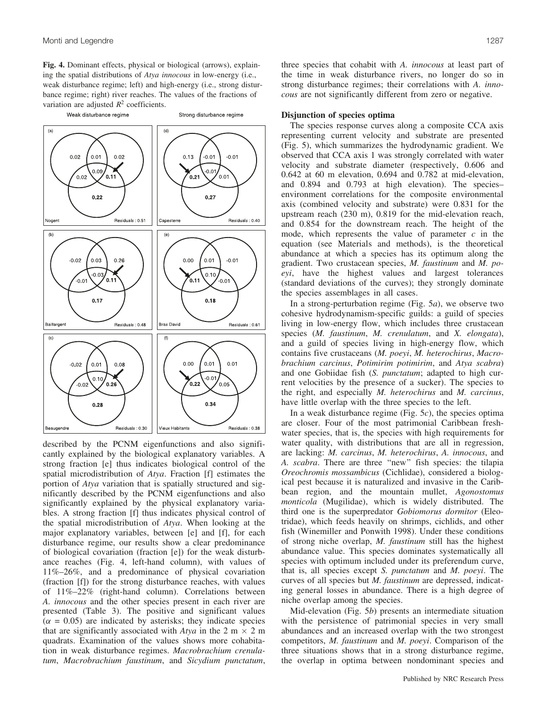**Fig. 4.** Dominant effects, physical or biological (arrows), explaining the spatial distributions of *Atya innocous* in low-energy (i.e., weak disturbance regime; left) and high-energy (i.e., strong disturbance regime; right) river reaches. The values of the fractions of variation are adjusted  $R^2$  coefficients.

Weak disturbance regime



described by the PCNM eigenfunctions and also significantly explained by the biological explanatory variables. A strong fraction [e] thus indicates biological control of the spatial microdistribution of *Atya*. Fraction [f] estimates the portion of *Atya* variation that is spatially structured and significantly described by the PCNM eigenfunctions and also significantly explained by the physical explanatory variables. A strong fraction [f] thus indicates physical control of the spatial microdistribution of *Atya*. When looking at the major explanatory variables, between [e] and [f], for each disturbance regime, our results show a clear predominance of biological covariation (fraction [e]) for the weak disturbance reaches (Fig. 4, left-hand column), with values of 11%–26%, and a predominance of physical covariation (fraction [f]) for the strong disturbance reaches, with values of 11%–22% (right-hand column). Correlations between *A. innocous* and the other species present in each river are presented (Table 3). The positive and significant values  $(\alpha = 0.05)$  are indicated by asterisks; they indicate species that are significantly associated with  $A t y a$  in the 2 m  $\times$  2 m quadrats. Examination of the values shows more cohabitation in weak disturbance regimes. *Macrobrachium crenulatum*, *Macrobrachium faustinum*, and *Sicydium punctatum*, three species that cohabit with *A. innocous* at least part of the time in weak disturbance rivers, no longer do so in strong disturbance regimes; their correlations with *A. innocous* are not significantly different from zero or negative.

#### **Disjunction of species optima**

The species response curves along a composite CCA axis representing current velocity and substrate are presented (Fig. 5), which summarizes the hydrodynamic gradient. We observed that CCA axis 1 was strongly correlated with water velocity and substrate diameter (respectively, 0.606 and 0.642 at 60 m elevation, 0.694 and 0.782 at mid-elevation, and 0.894 and 0.793 at high elevation). The species– environment correlations for the composite environmental axis (combined velocity and substrate) were 0.831 for the upstream reach (230 m), 0.819 for the mid-elevation reach, and 0.854 for the downstream reach. The height of the mode, which represents the value of parameter *c* in the equation (see Materials and methods), is the theoretical abundance at which a species has its optimum along the gradient. Two crustacean species, *M. faustinum* and *M. poeyi*, have the highest values and largest tolerances (standard deviations of the curves); they strongly dominate the species assemblages in all cases.

In a strong-perturbation regime (Fig. 5*a*), we observe two cohesive hydrodynamism-specific guilds: a guild of species living in low-energy flow, which includes three crustacean species (*M. faustinum*, *M. crenulatum*, and *X. elongata*), and a guild of species living in high-energy flow, which contains five crustaceans (*M. poeyi*, *M. heterochirus*, *Macrobrachium carcinus*, *Potimirim potimirim*, and *Atya scabra*) and one Gobiidae fish (*S. punctatum*; adapted to high current velocities by the presence of a sucker). The species to the right, and especially *M. heterochirus* and *M. carcinus*, have little overlap with the three species to the left.

In a weak disturbance regime (Fig. 5*c*), the species optima are closer. Four of the most patrimonial Caribbean freshwater species, that is, the species with high requirements for water quality, with distributions that are all in regression, are lacking: *M. carcinus*, *M. heterochirus*, *A. innocous*, and *A. scabra*. There are three ''new'' fish species: the tilapia *Oreochromis mossambicus* (Cichlidae), considered a biological pest because it is naturalized and invasive in the Caribbean region, and the mountain mullet, *Agonostomus monticola* (Mugilidae), which is widely distributed. The third one is the superpredator *Gobiomorus dormitor* (Eleotridae), which feeds heavily on shrimps, cichlids, and other fish (Winemiller and Ponwith 1998). Under these conditions of strong niche overlap, *M. faustinum* still has the highest abundance value. This species dominates systematically all species with optimum included under its preferendum curve, that is, all species except *S. punctatum* and *M. poeyi*. The curves of all species but *M. faustinum* are depressed, indicating general losses in abundance. There is a high degree of niche overlap among the species.

Mid-elevation (Fig. 5*b*) presents an intermediate situation with the persistence of patrimonial species in very small abundances and an increased overlap with the two strongest competitors, *M. faustinum* and *M. poeyi*. Comparison of the three situations shows that in a strong disturbance regime, the overlap in optima between nondominant species and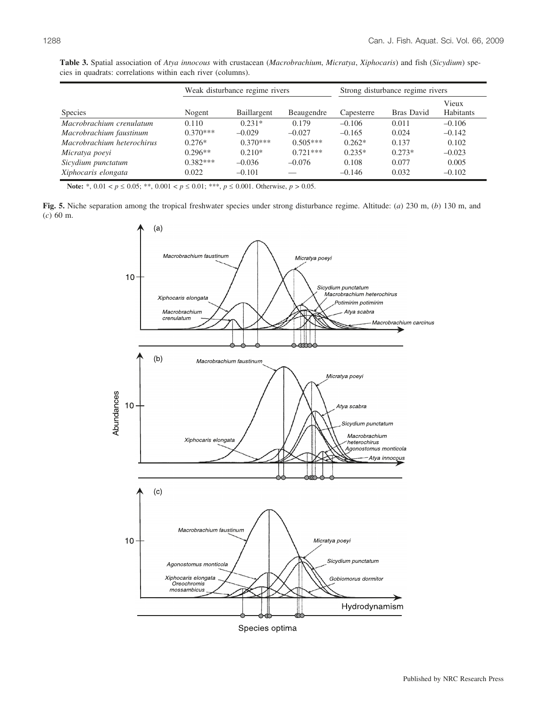|                            |            | Weak disturbance regime rivers |            | Strong disturbance regime rivers |            |                    |  |
|----------------------------|------------|--------------------------------|------------|----------------------------------|------------|--------------------|--|
| <b>Species</b>             | Nogent     | <b>Baillargent</b>             | Beaugendre | Capesterre                       | Bras David | Vieux<br>Habitants |  |
| Macrobrachium crenulatum   | 0.110      | $0.231*$                       | 0.179      | $-0.106$                         | 0.011      | $-0.106$           |  |
| Macrobrachium faustinum    | $0.370***$ | $-0.029$                       | $-0.027$   | $-0.165$                         | 0.024      | $-0.142$           |  |
| Macrobrachium heterochirus | $0.276*$   | $0.370***$                     | $0.505***$ | $0.262*$                         | 0.137      | 0.102              |  |
| Micratya poeyi             | $0.296**$  | $0.210*$                       | $0.721***$ | $0.235*$                         | $0.273*$   | $-0.023$           |  |
| Sicydium punctatum         | $0.382***$ | $-0.036$                       | $-0.076$   | 0.108                            | 0.077      | 0.005              |  |
| Xiphocaris elongata        | 0.022      | $-0.101$                       |            | $-0.146$                         | 0.032      | $-0.102$           |  |

**Table 3.** Spatial association of *Atya innocous* with crustacean (*Macrobrachium*, *Micratya*, *Xiphocaris*) and fish (*Sicydium*) species in quadrats: correlations within each river (columns).

**Note:** \*,  $0.01 < p \le 0.05$ ; \*\*,  $0.001 < p \le 0.01$ ; \*\*,  $p \le 0.001$ . Otherwise,  $p > 0.05$ .

**Fig. 5.** Niche separation among the tropical freshwater species under strong disturbance regime. Altitude: (*a*) 230 m, (*b*) 130 m, and (*c*) 60 m.



Species optima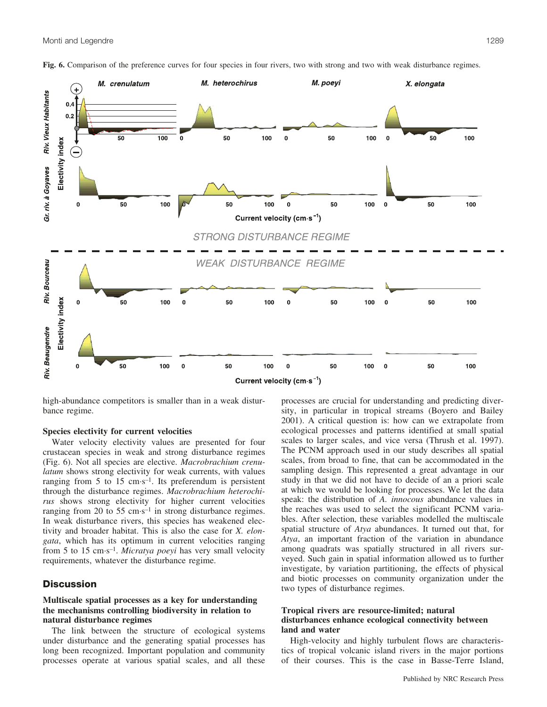

**Fig. 6.** Comparison of the preference curves for four species in four rivers, two with strong and two with weak disturbance regimes.

high-abundance competitors is smaller than in a weak disturbance regime.

# **Species electivity for current velocities**

Water velocity electivity values are presented for four crustacean species in weak and strong disturbance regimes (Fig. 6). Not all species are elective. *Macrobrachium crenulatum* shows strong electivity for weak currents, with values ranging from 5 to 15  $\text{cm}\cdot\text{s}^{-1}$ . Its preferendum is persistent through the disturbance regimes. *Macrobrachium heterochirus* shows strong electivity for higher current velocities ranging from 20 to 55  $\text{cm}\cdot\text{s}^{-1}$  in strong disturbance regimes. In weak disturbance rivers, this species has weakened electivity and broader habitat. This is also the case for *X. elongata*, which has its optimum in current velocities ranging from 5 to 15 cm-s–1. *Micratya poeyi* has very small velocity requirements, whatever the disturbance regime.

# **Discussion**

# **Multiscale spatial processes as a key for understanding the mechanisms controlling biodiversity in relation to natural disturbance regimes**

The link between the structure of ecological systems under disturbance and the generating spatial processes has long been recognized. Important population and community processes operate at various spatial scales, and all these processes are crucial for understanding and predicting diversity, in particular in tropical streams (Boyero and Bailey 2001). A critical question is: how can we extrapolate from ecological processes and patterns identified at small spatial scales to larger scales, and vice versa (Thrush et al. 1997). The PCNM approach used in our study describes all spatial scales, from broad to fine, that can be accommodated in the sampling design. This represented a great advantage in our study in that we did not have to decide of an a priori scale at which we would be looking for processes. We let the data speak: the distribution of *A. innocous* abundance values in the reaches was used to select the significant PCNM variables. After selection, these variables modelled the multiscale spatial structure of *Atya* abundances. It turned out that, for *Atya*, an important fraction of the variation in abundance among quadrats was spatially structured in all rivers surveyed. Such gain in spatial information allowed us to further investigate, by variation partitioning, the effects of physical and biotic processes on community organization under the two types of disturbance regimes.

# **Tropical rivers are resource-limited; natural disturbances enhance ecological connectivity between land and water**

High-velocity and highly turbulent flows are characteristics of tropical volcanic island rivers in the major portions of their courses. This is the case in Basse-Terre Island,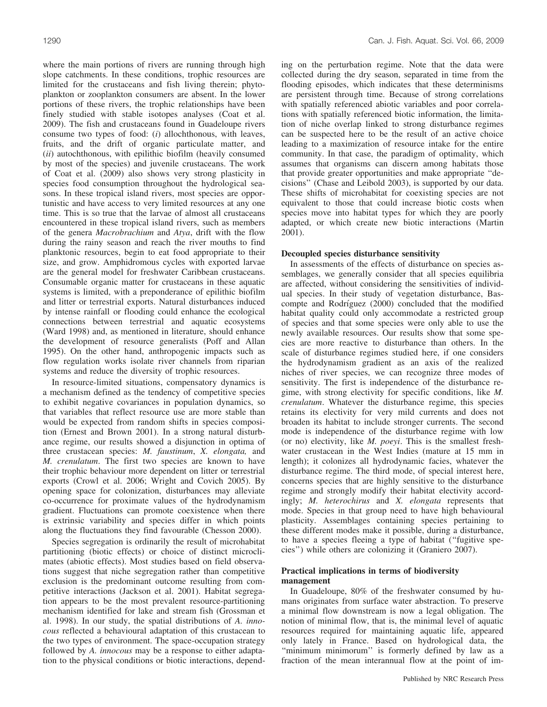where the main portions of rivers are running through high slope catchments. In these conditions, trophic resources are limited for the crustaceans and fish living therein; phytoplankton or zooplankton consumers are absent. In the lower portions of these rivers, the trophic relationships have been finely studied with stable isotopes analyses (Coat et al. 2009). The fish and crustaceans found in Guadeloupe rivers consume two types of food: (*i*) allochthonous, with leaves, fruits, and the drift of organic particulate matter, and (*ii*) autochthonous, with epilithic biofilm (heavily consumed by most of the species) and juvenile crustaceans. The work of Coat et al. (2009) also shows very strong plasticity in species food consumption throughout the hydrological seasons. In these tropical island rivers, most species are opportunistic and have access to very limited resources at any one time. This is so true that the larvae of almost all crustaceans encountered in these tropical island rivers, such as members of the genera *Macrobrachium* and *Atya*, drift with the flow during the rainy season and reach the river mouths to find planktonic resources, begin to eat food appropriate to their size, and grow. Amphidromous cycles with exported larvae are the general model for freshwater Caribbean crustaceans. Consumable organic matter for crustaceans in these aquatic systems is limited, with a preponderance of epilithic biofilm and litter or terrestrial exports. Natural disturbances induced by intense rainfall or flooding could enhance the ecological connections between terrestrial and aquatic ecosystems (Ward 1998) and, as mentioned in literature, should enhance the development of resource generalists (Poff and Allan 1995). On the other hand, anthropogenic impacts such as flow regulation works isolate river channels from riparian systems and reduce the diversity of trophic resources.

In resource-limited situations, compensatory dynamics is a mechanism defined as the tendency of competitive species to exhibit negative covariances in population dynamics, so that variables that reflect resource use are more stable than would be expected from random shifts in species composition (Ernest and Brown 2001). In a strong natural disturbance regime, our results showed a disjunction in optima of three crustacean species: *M. faustinum*, *X. elongata,* and *M. crenulatum*. The first two species are known to have their trophic behaviour more dependent on litter or terrestrial exports (Crowl et al. 2006; Wright and Covich 2005). By opening space for colonization, disturbances may alleviate co-occurrence for proximate values of the hydrodynamism gradient. Fluctuations can promote coexistence when there is extrinsic variability and species differ in which points along the fluctuations they find favourable (Chesson 2000).

Species segregation is ordinarily the result of microhabitat partitioning (biotic effects) or choice of distinct microclimates (abiotic effects). Most studies based on field observations suggest that niche segregation rather than competitive exclusion is the predominant outcome resulting from competitive interactions (Jackson et al. 2001). Habitat segregation appears to be the most prevalent resource-partitioning mechanism identified for lake and stream fish (Grossman et al. 1998). In our study, the spatial distributions of *A. innocous* reflected a behavioural adaptation of this crustacean to the two types of environment. The space-occupation strategy followed by *A. innocous* may be a response to either adaptation to the physical conditions or biotic interactions, depending on the perturbation regime. Note that the data were collected during the dry season, separated in time from the flooding episodes, which indicates that these determinisms are persistent through time. Because of strong correlations with spatially referenced abiotic variables and poor correlations with spatially referenced biotic information, the limitation of niche overlap linked to strong disturbance regimes can be suspected here to be the result of an active choice leading to a maximization of resource intake for the entire community. In that case, the paradigm of optimality, which assumes that organisms can discern among habitats those that provide greater opportunities and make appropriate ''decisions'' (Chase and Leibold 2003), is supported by our data. These shifts of microhabitat for coexisting species are not equivalent to those that could increase biotic costs when species move into habitat types for which they are poorly adapted, or which create new biotic interactions (Martin 2001).

#### **Decoupled species disturbance sensitivity**

In assessments of the effects of disturbance on species assemblages, we generally consider that all species equilibria are affected, without considering the sensitivities of individual species. In their study of vegetation disturbance, Bascompte and Rodríguez (2000) concluded that the modified habitat quality could only accommodate a restricted group of species and that some species were only able to use the newly available resources. Our results show that some species are more reactive to disturbance than others. In the scale of disturbance regimes studied here, if one considers the hydrodynamism gradient as an axis of the realized niches of river species, we can recognize three modes of sensitivity. The first is independence of the disturbance regime, with strong electivity for specific conditions, like *M. crenulatum*. Whatever the disturbance regime, this species retains its electivity for very mild currents and does not broaden its habitat to include stronger currents. The second mode is independence of the disturbance regime with low (or no) electivity, like *M. poeyi*. This is the smallest freshwater crustacean in the West Indies (mature at 15 mm in length); it colonizes all hydrodynamic facies, whatever the disturbance regime. The third mode, of special interest here, concerns species that are highly sensitive to the disturbance regime and strongly modify their habitat electivity accordingly; *M. heterochirus* and *X. elongata* represents that mode. Species in that group need to have high behavioural plasticity. Assemblages containing species pertaining to these different modes make it possible, during a disturbance, to have a species fleeing a type of habitat (''fugitive species'') while others are colonizing it (Graniero 2007).

# **Practical implications in terms of biodiversity management**

In Guadeloupe, 80% of the freshwater consumed by humans originates from surface water abstraction. To preserve a minimal flow downstream is now a legal obligation. The notion of minimal flow, that is, the minimal level of aquatic resources required for maintaining aquatic life, appeared only lately in France. Based on hydrological data, the "minimum minimorum" is formerly defined by law as a fraction of the mean interannual flow at the point of im-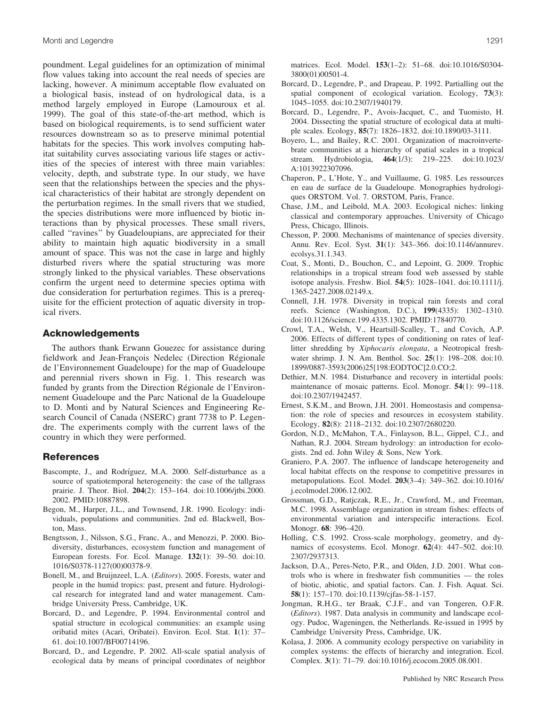poundment. Legal guidelines for an optimization of minimal flow values taking into account the real needs of species are lacking, however. A minimum acceptable flow evaluated on a biological basis, instead of on hydrological data, is a method largely employed in Europe (Lamouroux et al. 1999). The goal of this state-of-the-art method, which is based on biological requirements, is to send sufficient water resources downstream so as to preserve minimal potential habitats for the species. This work involves computing habitat suitability curves associating various life stages or activities of the species of interest with three main variables: velocity, depth, and substrate type. In our study, we have seen that the relationships between the species and the physical characteristics of their habitat are strongly dependent on the perturbation regimes. In the small rivers that we studied, the species distributions were more influenced by biotic interactions than by physical processes. These small rivers, called ''ravines'' by Guadeloupians, are appreciated for their ability to maintain high aquatic biodiversity in a small amount of space. This was not the case in large and highly disturbed rivers where the spatial structuring was more strongly linked to the physical variables. These observations confirm the urgent need to determine species optima with due consideration for perturbation regimes. This is a prerequisite for the efficient protection of aquatic diversity in tropical rivers.

# **Acknowledgements**

The authors thank Erwann Gouezec for assistance during fieldwork and Jean-François Nedelec (Direction Régionale de l'Environnement Guadeloupe) for the map of Guadeloupe and perennial rivers shown in Fig. 1. This research was funded by grants from the Direction Régionale de l'Environnement Guadeloupe and the Parc National de la Guadeloupe to D. Monti and by Natural Sciences and Engineering Research Council of Canada (NSERC) grant 7738 to P. Legendre. The experiments comply with the current laws of the country in which they were performed.

# **References**

- Bascompte, J., and Rodríguez, M.A. 2000. Self-disturbance as a source of spatiotemporal heterogeneity: the case of the tallgrass prairie. J. Theor. Biol. **204**(2): 153–164. doi:10.1006/jtbi.2000. 2002. PMID:10887898.
- Begon, M., Harper, J.L., and Townsend, J.R. 1990. Ecology: individuals, populations and communities. 2nd ed. Blackwell, Boston, Mass.
- Bengtsson, J., Nilsson, S.G., Franc, A., and Menozzi, P. 2000. Biodiversity, disturbances, ecosystem function and management of European forests. For. Ecol. Manage. **132**(1): 39–50. doi:10. 1016/S0378-1127(00)00378-9.
- Bonell, M., and Bruijnzeel, L.A. (*Editors*). 2005. Forests, water and people in the humid tropics: past, present and future. Hydrological research for integrated land and water management. Cambridge University Press, Cambridge, UK.
- Borcard, D., and Legendre, P. 1994. Environmental control and spatial structure in ecological communities: an example using oribatid mites (Acari, Oribatei). Environ. Ecol. Stat. **1**(1): 37– 61. doi:10.1007/BF00714196.
- Borcard, D., and Legendre, P. 2002. All-scale spatial analysis of ecological data by means of principal coordinates of neighbor

matrices. Ecol. Model. **153**(1–2): 51–68. doi:10.1016/S0304- 3800(01)00501-4.

- Borcard, D., Legendre, P., and Drapeau, P. 1992. Partialling out the spatial component of ecological variation. Ecology, **73**(3): 1045–1055. doi:10.2307/1940179.
- Borcard, D., Legendre, P., Avois-Jacquet, C., and Tuomisto, H. 2004. Dissecting the spatial structure of ecological data at multiple scales. Ecology, **85**(7): 1826–1832. doi:10.1890/03-3111.
- Boyero, L., and Bailey, R.C. 2001. Organization of macroinvertebrate communities at a hierarchy of spatial scales in a tropical stream. Hydrobiologia, **464**(1/3): 219–225. doi:10.1023/ A:1013922307096.
- Chaperon, P., L'Hote, Y., and Vuillaume, G. 1985. Les ressources en eau de surface de la Guadeloupe. Monographies hydrologiques ORSTOM. Vol. 7. ORSTOM, Paris, France.
- Chase, J.M., and Leibold, M.A. 2003. Ecological niches: linking classical and contemporary approaches. University of Chicago Press, Chicago, Illinois.
- Chesson, P. 2000. Mechanisms of maintenance of species diversity. Annu. Rev. Ecol. Syst. **31**(1): 343–366. doi:10.1146/annurev. ecolsys.31.1.343.
- Coat, S., Monti, D., Bouchon, C., and Lepoint, G. 2009. Trophic relationships in a tropical stream food web assessed by stable isotope analysis. Freshw. Biol. **54**(5): 1028–1041. doi:10.1111/j. 1365-2427.2008.02149.x.
- Connell, J.H. 1978. Diversity in tropical rain forests and coral reefs. Science (Washington, D.C.), **199**(4335): 1302–1310. doi:10.1126/science.199.4335.1302. PMID:17840770.
- Crowl, T.A., Welsh, V., Heartsill-Scalley, T., and Covich, A.P. 2006. Effects of different types of conditioning on rates of leaflitter shredding by *Xiphocaris elongata*, a Neotropical freshwater shrimp. J. N. Am. Benthol. Soc. **25**(1): 198–208. doi:10. 1899/0887-3593(2006)25[198:EODTOC]2.0.CO;2.
- Dethier, M.N. 1984. Disturbance and recovery in intertidal pools: maintenance of mosaic patterns. Ecol. Monogr. **54**(1): 99–118. doi:10.2307/1942457.
- Ernest, S.K.M., and Brown, J.H. 2001. Homeostasis and compensation: the role of species and resources in ecosystem stability. Ecology, **82**(8): 2118–2132. doi:10.2307/2680220.
- Gordon, N.D., McMahon, T.A., Finlayson, B.L., Gippel, C.J., and Nathan, R.J. 2004. Stream hydrology: an introduction for ecologists. 2nd ed. John Wiley & Sons, New York.
- Graniero, P.A. 2007. The influence of landscape heterogeneity and local habitat effects on the response to competitive pressures in metapopulations. Ecol. Model. **203**(3–4): 349–362. doi:10.1016/ j.ecolmodel.2006.12.002.
- Grossman, G.D., Ratjczak, R.E., Jr., Crawford, M., and Freeman, M.C. 1998. Assemblage organization in stream fishes: effects of environmental variation and interspecific interactions. Ecol. Monogr. **68**: 396–420.
- Holling, C.S. 1992. Cross-scale morphology, geometry, and dynamics of ecosystems. Ecol. Monogr. **62**(4): 447–502. doi:10. 2307/2937313.
- Jackson, D.A., Peres-Neto, P.R., and Olden, J.D. 2001. What controls who is where in freshwater fish communities — the roles of biotic, abiotic, and spatial factors. Can. J. Fish. Aquat. Sci. **58**(1): 157–170. doi:10.1139/cjfas-58-1-157.
- Jongman, R.H.G., ter Braak, C.J.F., and van Tongeren, O.F.R. (*Editors*). 1987. Data analysis in community and landscape ecology. Pudoc, Wageningen, the Netherlands. Re-issued in 1995 by Cambridge University Press, Cambridge, UK.
- Kolasa, J. 2006. A community ecology perspective on variability in complex systems: the effects of hierarchy and integration. Ecol. Complex. **3**(1): 71–79. doi:10.1016/j.ecocom.2005.08.001.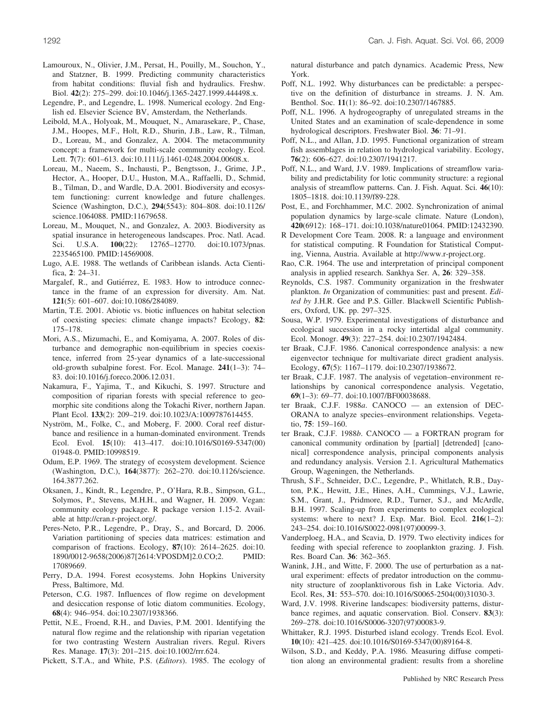- Lamouroux, N., Olivier, J.M., Persat, H., Pouilly, M., Souchon, Y., and Statzner, B. 1999. Predicting community characteristics from habitat conditions: fluvial fish and hydraulics. Freshw. Biol. **42**(2): 275–299. doi:10.1046/j.1365-2427.1999.444498.x.
- Legendre, P., and Legendre, L. 1998. Numerical ecology. 2nd English ed. Elsevier Science BV, Amsterdam, the Netherlands.
- Leibold, M.A., Holyoak, M., Mouquet, N., Amarasekare, P., Chase, J.M., Hoopes, M.F., Holt, R.D., Shurin, J.B., Law, R., Tilman, D., Loreau, M., and Gonzalez, A. 2004. The metacommunity concept: a framework for multi-scale community ecology. Ecol. Lett. **7**(7): 601–613. doi:10.1111/j.1461-0248.2004.00608.x.
- Loreau, M., Naeem, S., Inchausti, P., Bengtsson, J., Grime, J.P., Hector, A., Hooper, D.U., Huston, M.A., Raffaelli, D., Schmid, B., Tilman, D., and Wardle, D.A. 2001. Biodiversity and ecosystem functioning: current knowledge and future challenges. Science (Washington, D.C.), **294**(5543): 804–808. doi:10.1126/ science.1064088. PMID:11679658.
- Loreau, M., Mouquet, N., and Gonzalez, A. 2003. Biodiversity as spatial insurance in heterogeneous landscapes. Proc. Natl. Acad. Sci. U.S.A. **100**(22): 12765–12770. doi:10.1073/pnas. 2235465100. PMID:14569008.
- Lugo, A.E. 1988. The wetlands of Caribbean islands. Acta Cientifica, **2**: 24–31.
- Margalef, R., and Gutiérrez, E. 1983. How to introduce connectance in the frame of an expression for diversity. Am. Nat. **121**(5): 601–607. doi:10.1086/284089.
- Martin, T.E. 2001. Abiotic vs. biotic influences on habitat selection of coexisting species: climate change impacts? Ecology, **82**: 175–178.
- Mori, A.S., Mizumachi, E., and Komiyama, A. 2007. Roles of disturbance and demographic non-equilibrium in species coexistence, inferred from 25-year dynamics of a late-successional old-growth subalpine forest. For. Ecol. Manage. **241**(1–3): 74– 83. doi:10.1016/j.foreco.2006.12.031.
- Nakamura, F., Yajima, T., and Kikuchi, S. 1997. Structure and composition of riparian forests with special reference to geomorphic site conditions along the Tokachi River, northern Japan. Plant Ecol. **133**(2): 209–219. doi:10.1023/A:1009787614455.
- Nyström, M., Folke, C., and Moberg, F. 2000. Coral reef disturbance and resilience in a human-dominated environment. Trends Ecol. Evol. **15**(10): 413–417. doi:10.1016/S0169-5347(00) 01948-0. PMID:10998519.
- Odum, E.P. 1969. The strategy of ecosystem development. Science (Washington, D.C.), **164**(3877): 262–270. doi:10.1126/science. 164.3877.262.
- Oksanen, J., Kindt, R., Legendre, P., O'Hara, R.B., Simpson, G.L., Solymos, P., Stevens, M.H.H., and Wagner, H. 2009. Vegan: community ecology package. R package version 1.15-2. Available at http://cran.r-project.org/.
- Peres-Neto, P.R., Legendre, P., Dray, S., and Borcard, D. 2006. Variation partitioning of species data matrices: estimation and comparison of fractions. Ecology, **87**(10): 2614–2625. doi:10. 1890/0012-9658(2006)87[2614:VPOSDM]2.0.CO;2. PMID: 17089669.
- Perry, D.A. 1994. Forest ecosystems. John Hopkins University Press, Baltimore, Md.
- Peterson, C.G. 1987. Influences of flow regime on development and desiccation response of lotic diatom communities. Ecology, **68**(4): 946–954. doi:10.2307/1938366.
- Pettit, N.E., Froend, R.H., and Davies, P.M. 2001. Identifying the natural flow regime and the relationship with riparian vegetation for two contrasting Western Australian rivers. Regul. Rivers Res. Manage. **17**(3): 201–215. doi:10.1002/rrr.624.

Pickett, S.T.A., and White, P.S. (*Editors*). 1985. The ecology of

natural disturbance and patch dynamics. Academic Press, New York.

- Poff, N.L. 1992. Why disturbances can be predictable: a perspective on the definition of disturbance in streams. J. N. Am. Benthol. Soc. **11**(1): 86–92. doi:10.2307/1467885.
- Poff, N.L. 1996. A hydrogeography of unregulated streams in the United States and an examination of scale-dependence in some hydrological descriptors. Freshwater Biol. **36**: 71–91.
- Poff, N.L., and Allan, J.D. 1995. Functional organization of stream fish assemblages in relation to hydrological variability. Ecology, **76**(2): 606–627. doi:10.2307/1941217.
- Poff, N.L., and Ward, J.V. 1989. Implications of streamflow variability and predictability for lotic community structure: a regional analysis of streamflow patterns. Can. J. Fish. Aquat. Sci. **46**(10): 1805–1818. doi:10.1139/f89-228.
- Post, E., and Forchhammer, M.C. 2002. Synchronization of animal population dynamics by large-scale climate. Nature (London), **420**(6912): 168–171. doi:10.1038/nature01064. PMID:12432390.
- R Development Core Team. 2008. R: a language and environment for statistical computing. R Foundation for Statistical Computing, Vienna, Austria. Available at http://www.r-project.org.
- Rao, C.R. 1964. The use and interpretation of principal component analysis in applied research. Sankhya Ser. A, **26**: 329–358.
- Reynolds, C.S. 1987. Community organization in the freshwater plankton. *In* Organization of communities: past and present. *Edited by* J.H.R. Gee and P.S. Giller. Blackwell Scientific Publishers, Oxford, UK. pp. 297–325.
- Sousa, W.P. 1979. Experimental investigations of disturbance and ecological succession in a rocky intertidal algal community. Ecol. Monogr. **49**(3): 227–254. doi:10.2307/1942484.
- ter Braak, C.J.F. 1986. Canonical correspondence analysis: a new eigenvector technique for multivariate direct gradient analysis. Ecology, **67**(5): 1167–1179. doi:10.2307/1938672.
- ter Braak, C.J.F. 1987. The analysis of vegetation–environment relationships by canonical correspondence analysis. Vegetatio, **69**(1–3): 69–77. doi:10.1007/BF00038688.
- ter Braak, C.J.F. 1988*a*. CANOCO an extension of DEC-ORANA to analyze species–environment relationships. Vegetatio, **75**: 159–160.
- ter Braak, C.J.F. 1988*b*. CANOCO a FORTRAN program for canonical community ordination by [partial] [detrended] [canonical] correspondence analysis, principal components analysis and redundancy analysis. Version 2.1. Agricultural Mathematics Group, Wageningen, the Netherlands.
- Thrush, S.F., Schneider, D.C., Legendre, P., Whitlatch, R.B., Dayton, P.K., Hewitt, J.E., Hines, A.H., Cummings, V.J., Lawrie, S.M., Grant, J., Pridmore, R.D., Turner, S.J., and McArdle, B.H. 1997. Scaling-up from experiments to complex ecological systems: where to next? J. Exp. Mar. Biol. Ecol. **216**(1–2): 243–254. doi:10.1016/S0022-0981(97)00099-3.
- Vanderploeg, H.A., and Scavia, D. 1979. Two electivity indices for feeding with special reference to zooplankton grazing. J. Fish. Res. Board Can. **36**: 362–365.
- Wanink, J.H., and Witte, F. 2000. The use of perturbation as a natural experiment: effects of predator introduction on the community structure of zooplanktivorous fish in Lake Victoria. Adv. Ecol. Res, **31**: 553–570. doi:10.1016/S0065-2504(00)31030-3.
- Ward, J.V. 1998. Riverine landscapes: biodiversity patterns, disturbance regimes, and aquatic conservation. Biol. Conserv. **83**(3): 269–278. doi:10.1016/S0006-3207(97)00083-9.
- Whittaker, R.J. 1995. Disturbed island ecology. Trends Ecol. Evol. **10**(10): 421–425. doi:10.1016/S0169-5347(00)89164-8.
- Wilson, S.D., and Keddy, P.A. 1986. Measuring diffuse competition along an environmental gradient: results from a shoreline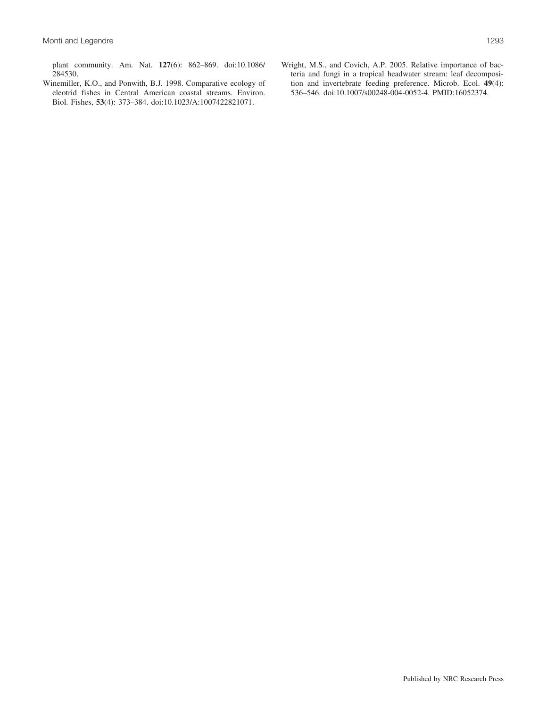plant community. Am. Nat. **127**(6): 862–869. doi:10.1086/ 284530.

- Winemiller, K.O., and Ponwith, B.J. 1998. Comparative ecology of eleotrid fishes in Central American coastal streams. Environ. Biol. Fishes, **53**(4): 373–384. doi:10.1023/A:1007422821071.
- Wright, M.S., and Covich, A.P. 2005. Relative importance of bacteria and fungi in a tropical headwater stream: leaf decomposition and invertebrate feeding preference. Microb. Ecol. **49**(4): 536–546. doi:10.1007/s00248-004-0052-4. PMID:16052374.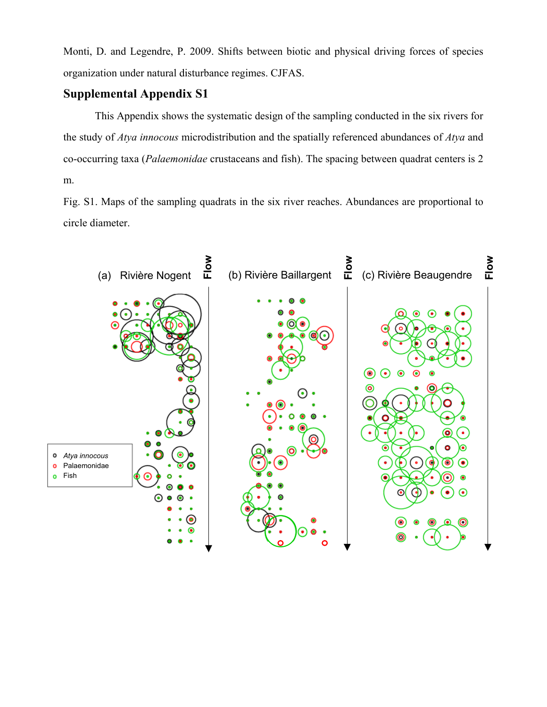Monti, D. and Legendre, P. 2009. Shifts between biotic and physical driving forces of species organization under natural disturbance regimes. CJFAS.

# **Supplemental Appendix S1**

 This Appendix shows the systematic design of the sampling conducted in the six rivers for the study of *Atya innocous* microdistribution and the spatially referenced abundances of *Atya* and co-occurring taxa (*Palaemonidae* crustaceans and fish). The spacing between quadrat centers is 2 m.

Fig. S1. Maps of the sampling quadrats in the six river reaches. Abundances are proportional to circle diameter.